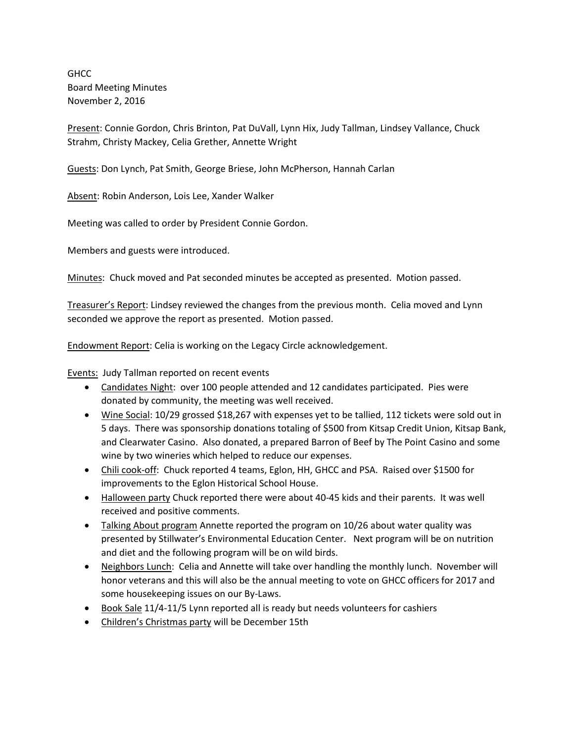**GHCC** Board Meeting Minutes November 2, 2016

Present: Connie Gordon, Chris Brinton, Pat DuVall, Lynn Hix, Judy Tallman, Lindsey Vallance, Chuck Strahm, Christy Mackey, Celia Grether, Annette Wright

Guests: Don Lynch, Pat Smith, George Briese, John McPherson, Hannah Carlan

Absent: Robin Anderson, Lois Lee, Xander Walker

Meeting was called to order by President Connie Gordon.

Members and guests were introduced.

Minutes: Chuck moved and Pat seconded minutes be accepted as presented. Motion passed.

Treasurer's Report: Lindsey reviewed the changes from the previous month. Celia moved and Lynn seconded we approve the report as presented. Motion passed.

Endowment Report: Celia is working on the Legacy Circle acknowledgement.

Events: Judy Tallman reported on recent events

- Candidates Night: over 100 people attended and 12 candidates participated. Pies were donated by community, the meeting was well received.
- Wine Social: 10/29 grossed \$18,267 with expenses yet to be tallied, 112 tickets were sold out in 5 days. There was sponsorship donations totaling of \$500 from Kitsap Credit Union, Kitsap Bank, and Clearwater Casino. Also donated, a prepared Barron of Beef by The Point Casino and some wine by two wineries which helped to reduce our expenses.
- Chili cook-off: Chuck reported 4 teams, Eglon, HH, GHCC and PSA. Raised over \$1500 for improvements to the Eglon Historical School House.
- Halloween party Chuck reported there were about 40-45 kids and their parents. It was well received and positive comments.
- Talking About program Annette reported the program on 10/26 about water quality was presented by Stillwater's Environmental Education Center. Next program will be on nutrition and diet and the following program will be on wild birds.
- Neighbors Lunch: Celia and Annette will take over handling the monthly lunch. November will honor veterans and this will also be the annual meeting to vote on GHCC officers for 2017 and some housekeeping issues on our By-Laws.
- Book Sale 11/4-11/5 Lynn reported all is ready but needs volunteers for cashiers
- Children's Christmas party will be December 15th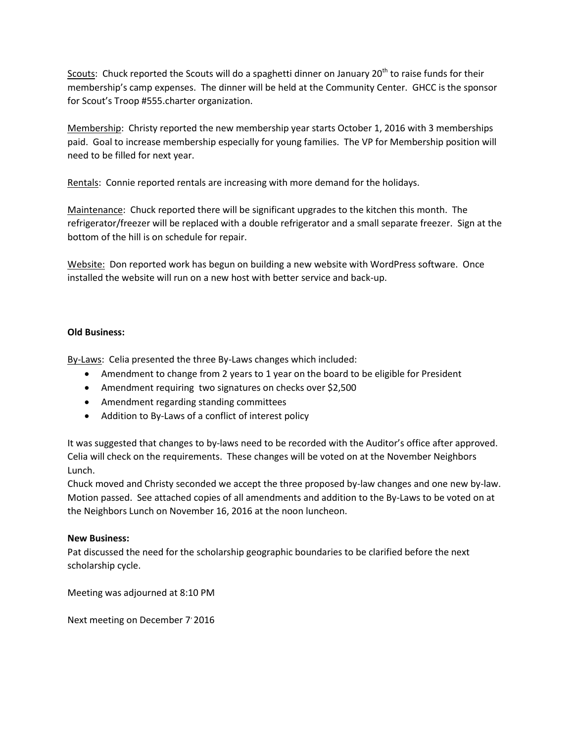Scouts: Chuck reported the Scouts will do a spaghetti dinner on January 20<sup>th</sup> to raise funds for their membership's camp expenses. The dinner will be held at the Community Center. GHCC is the sponsor for Scout's Troop #555.charter organization.

Membership: Christy reported the new membership year starts October 1, 2016 with 3 memberships paid. Goal to increase membership especially for young families. The VP for Membership position will need to be filled for next year.

Rentals: Connie reported rentals are increasing with more demand for the holidays.

Maintenance: Chuck reported there will be significant upgrades to the kitchen this month. The refrigerator/freezer will be replaced with a double refrigerator and a small separate freezer. Sign at the bottom of the hill is on schedule for repair.

Website: Don reported work has begun on building a new website with WordPress software. Once installed the website will run on a new host with better service and back-up.

# **Old Business:**

By-Laws: Celia presented the three By-Laws changes which included:

- Amendment to change from 2 years to 1 year on the board to be eligible for President
- Amendment requiring two signatures on checks over \$2,500
- Amendment regarding standing committees
- Addition to By-Laws of a conflict of interest policy

It was suggested that changes to by-laws need to be recorded with the Auditor's office after approved. Celia will check on the requirements. These changes will be voted on at the November Neighbors Lunch.

Chuck moved and Christy seconded we accept the three proposed by-law changes and one new by-law. Motion passed. See attached copies of all amendments and addition to the By-Laws to be voted on at the Neighbors Lunch on November 16, 2016 at the noon luncheon.

## **New Business:**

Pat discussed the need for the scholarship geographic boundaries to be clarified before the next scholarship cycle.

Meeting was adjourned at 8:10 PM

Next meeting on December 7'2016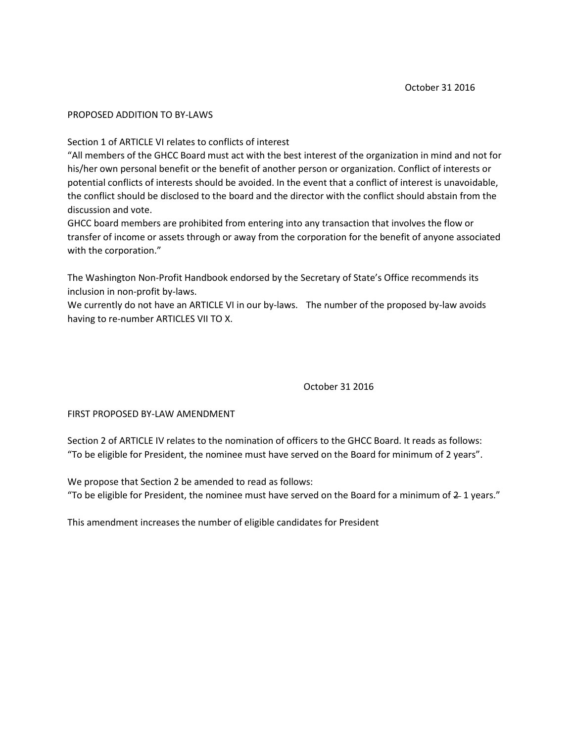### PROPOSED ADDITION TO BY-LAWS

Section 1 of ARTICLE VI relates to conflicts of interest

"All members of the GHCC Board must act with the best interest of the organization in mind and not for his/her own personal benefit or the benefit of another person or organization. Conflict of interests or potential conflicts of interests should be avoided. In the event that a conflict of interest is unavoidable, the conflict should be disclosed to the board and the director with the conflict should abstain from the discussion and vote.

GHCC board members are prohibited from entering into any transaction that involves the flow or transfer of income or assets through or away from the corporation for the benefit of anyone associated with the corporation."

The Washington Non-Profit Handbook endorsed by the Secretary of State's Office recommends its inclusion in non-profit by-laws.

We currently do not have an ARTICLE VI in our by-laws. The number of the proposed by-law avoids having to re-number ARTICLES VII TO X.

October 31 2016

#### FIRST PROPOSED BY-LAW AMENDMENT

Section 2 of ARTICLE IV relates to the nomination of officers to the GHCC Board. It reads as follows: "To be eligible for President, the nominee must have served on the Board for minimum of 2 years".

We propose that Section 2 be amended to read as follows: "To be eligible for President, the nominee must have served on the Board for a minimum of  $2$ -1 years."

This amendment increases the number of eligible candidates for President